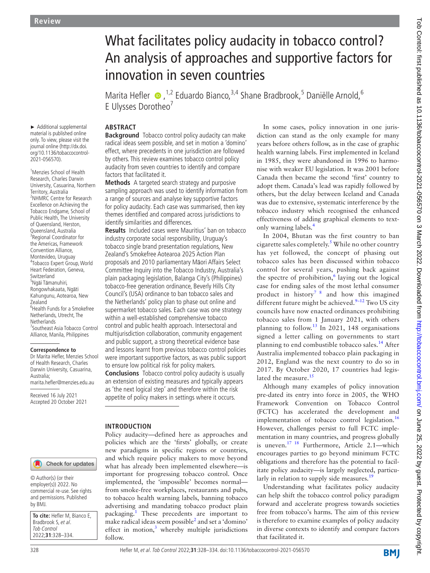► Additional supplemental material is published online only. To view, please visit the journal online ([http://dx.doi.](http://dx.doi.org/10.1136/tobaccocontrol-2021-056570) [org/10.1136/tobaccocontrol-](http://dx.doi.org/10.1136/tobaccocontrol-2021-056570)[2021-056570\)](http://dx.doi.org/10.1136/tobaccocontrol-2021-056570).

<sup>1</sup>Menzies School of Health Research, Charles Darwin University, Casuarina, Northern Territory, Australia <sup>2</sup>NHMRC Centre for Research Excellence on Achieving the Tobacco Endgame, School of Public Health, The University of Queensland, Herston, Queensland, Australia <sup>3</sup>Regional Coordinator for the Americas, Framework Convention Alliance, Montevideo, Uruguay 4 Tobacco Expert Group, World Heart Federation, Geneva, Switzerland <sup>5</sup>Ngāi Tāmanuhiri, Rongowhakaata, Ngāti Kahungunu, Aotearoa, New Zealand 6 Health Funds for a Smokefree Netherlands, Utrecht, The **Netherlands** 7 Southeast Asia Tobacco Control Alliance, Manila, Philippines

#### **Correspondence to**

Dr Marita Hefler, Menzies School of Health Research, Charles Darwin University, Casuarina, Australia; marita.hefler@menzies.edu.au

Received 16 July 2021 Accepted 20 October 2021

## Check for updates

© Author(s) (or their employer(s)) 2022. No commercial re-use. See rights and permissions. Published by BMJ.

**To cite:** Hefler M, Bianco E, Bradbrook S, et al. Tob Control 2022;**31**:328–334.

# What facilitates policy audacity in tobacco control? An analysis of approaches and supportive factors for innovation in seven countries

Marita Hefler  $\bullet$ , <sup>1,2</sup> Eduardo Bianco, <sup>3,4</sup> Shane Bradbrook, <sup>5</sup> Daniëlle Arnold, <sup>6</sup> E Ulysses Dorotheo<sup>7</sup>

## **ABSTRACT**

**Background** Tobacco control policy audacity can make radical ideas seem possible, and set in motion a 'domino' effect, where precedents in one jurisdiction are followed by others. This review examines tobacco control policy audacity from seven countries to identify and compare factors that facilitated it.

**Methods** A targeted search strategy and purposive sampling approach was used to identify information from a range of sources and analyse key supportive factors for policy audacity. Each case was summarised, then key themes identified and compared across jurisdictions to identify similarities and differences.

**Results** Included cases were Mauritius' ban on tobacco industry corporate social responsibility, Uruguay's tobacco single brand presentation regulations, New Zealand's Smokefree Aotearoa 2025 Action Plan proposals and 2010 parliamentary Māori Affairs Select Committee Inquiry into the Tobacco Industry, Australia's plain packaging legislation, Balanga City's (Philippines) tobacco-free generation ordinance, Beverly Hills City Council's (USA) ordinance to ban tobacco sales and the Netherlands' policy plan to phase out online and supermarket tobacco sales. Each case was one strategy within a well-established comprehensive tobacco control and public health approach. Intersectoral and multijurisdiction collaboration, community engagement and public support, a strong theoretical evidence base and lessons learnt from previous tobacco control policies were important supportive factors, as was public support to ensure low political risk for policy makers.

**Conclusions** Tobacco control policy audacity is usually an extension of existing measures and typically appears as 'the next logical step' and therefore within the risk appetite of policy makers in settings where it occurs.

#### **INTRODUCTION**

Policy audacity—defined here as approaches and policies which are the 'firsts' globally, or create new paradigms in specific regions or countries, and which require policy makers to move beyond what has already been implemented elsewhere—is important for progressing tobacco control. Once implemented, the 'impossible' becomes normal from smoke-free workplaces, restaurants and pubs, to tobacco health warning labels, banning tobacco advertising and mandating tobacco product plain packaging.<sup>[1](#page-5-0)</sup> These precedents are important to make radical ideas seem possible<sup>[2](#page-5-1)</sup> and set a 'domino' effect in motion, $3$  whereby multiple jurisdictions follow.

In some cases, policy innovation in one jurisdiction can stand as the only example for many years before others follow, as in the case of graphic health warning labels. First implemented in Iceland in 1985, they were abandoned in 1996 to harmonise with weaker EU legislation. It was 2001 before Canada then became the second 'first' country to adopt them. Canada's lead was rapidly followed by others, but the delay between Iceland and Canada was due to extensive, systematic interference by the tobacco industry which recognised the enhanced effectiveness of adding graphical elements to textonly warning labels[.4](#page-5-3)

In 2004, Bhutan was the first country to ban cigarette sales completely.<sup>[5](#page-5-4)</sup> While no other country has yet followed, the concept of phasing out tobacco sales has been discussed within tobacco control for several years, pushing back against the spectre of prohibition, $6$  laying out the logical case for ending sales of the most lethal consumer product in history<sup>7</sup>  $\frac{8}{3}$  and how this imagined different future might be achieved. $9-12$  Two US city councils have now enacted ordinances prohibiting tobacco sales from 1 January 2021, with others planning to follow.<sup>13</sup> In 2021, 148 organisations signed a letter calling on governments to start planning to end combustible tobacco sales.<sup>14</sup> After Australia implemented tobacco plain packaging in 2012, England was the next country to do so in 2017. By October 2020, 17 countries had legis-lated the measure.<sup>[15](#page-5-10)</sup>

Although many examples of policy innovation pre-dated its entry into force in 2005, the WHO Framework Convention on Tobacco Control (FCTC) has accelerated the development and implementation of tobacco control legislation.<sup>[16](#page-5-11)</sup> However, challenges persist to full FCTC implementation in many countries, and progress globally is uneven[.17 18](#page-5-12) Furthermore, Article 2.1—which encourages parties to go beyond minimum FCTC obligations and therefore has the potential to facilitate policy audacity—is largely neglected, particularly in relation to supply side measures. $19$ 

Understanding what facilitates policy audacity can help shift the tobacco control policy paradigm forward and accelerate progress towards societies free from tobacco's harms. The aim of this review is therefore to examine examples of policy audacity in diverse contexts to identify and compare factors that facilitated it.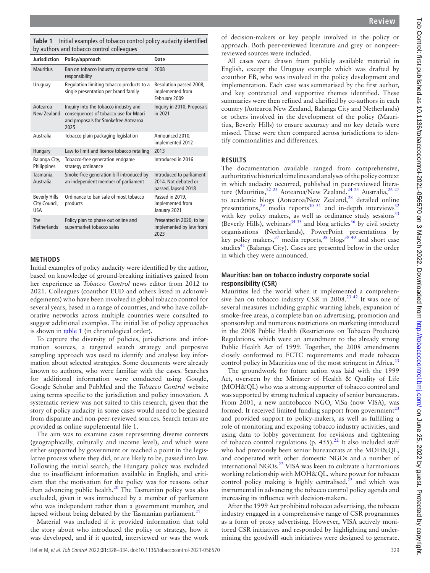**Review**

<span id="page-1-0"></span>**Table 1** Initial examples of tobacco control policy audacity identified by authors and tobacco control colleagues

| <b>Jurisdiction</b>                                 | Policy/approach                                                                                                                | <b>Date</b>                                                             |
|-----------------------------------------------------|--------------------------------------------------------------------------------------------------------------------------------|-------------------------------------------------------------------------|
| <b>Mauritius</b>                                    | Ban on tobacco industry corporate social<br>responsibility                                                                     | 2008                                                                    |
| Uruguay                                             | Regulation limiting tobacco products to a<br>single presentation per brand family                                              | Resolution passed 2008,<br>implemented from<br>February 2009            |
| Aotearoa<br>New Zealand                             | Inquiry into the tobacco industry and<br>consequences of tobacco use for Māori<br>and proposals for Smokefree Aotearoa<br>2025 | Inquiry in 2010, Proposals<br>in 2021                                   |
| Australia                                           | Tobacco plain packaging legislation                                                                                            | Announced 2010,<br>implemented 2012                                     |
| Hungary                                             | Law to limit and licence tobacco retailing                                                                                     | 2013                                                                    |
| Balanga City,<br>Philippines                        | Tobacco-free generation endgame<br>strategy ordinance                                                                          | Introduced in 2016                                                      |
| Tasmania,<br>Australia                              | Smoke-free generation bill introduced by<br>an independent member of parliament                                                | Introduced to parliament<br>2014. Not debated or<br>passed, lapsed 2018 |
| <b>Beverly Hills</b><br>City Council,<br><b>USA</b> | Ordinance to ban sale of most tobacco<br>products                                                                              | Passed in 2019,<br>implemented from<br>January 2021                     |
| The<br><b>Netherlands</b>                           | Policy plan to phase out online and<br>supermarket tobacco sales                                                               | Presented in 2020, to be<br>implemented by law from<br>2023             |

#### **METHODS**

Initial examples of policy audacity were identified by the author, based on knowledge of ground-breaking initiatives gained from her experience as *Tobacco Control* news editor from 2012 to 2021. Colleagues (coauthor EUD and others listed in acknowledgements) who have been involved in global tobacco control for several years, based in a range of countries, and who have collaborative networks across multiple countries were consulted to suggest additional examples. The initial list of policy approaches is shown in [table](#page-1-0) 1 (in chronological order).

To capture the diversity of policies, jurisdictions and information sources, a targeted search strategy and purposive sampling approach was used to identify and analyse key information about selected strategies. Some documents were already known to authors, who were familiar with the cases. Searches for additional information were conducted using Google, Google Scholar and PubMed and the *Tobacco Control* website using terms specific to the jurisdiction and policy innovation. A systematic review was not suited to this research, given that the story of policy audacity in some cases would need to be gleaned from disparate and non-peer-reviewed sources. Search terms are provided as [online supplemental file 1](https://dx.doi.org/10.1136/tobaccocontrol-2021-056570).

The aim was to examine cases representing diverse contexts (geographically, culturally and income level), and which were either supported by government or reached a point in the legislative process where they did, or are likely to be, passed into law. Following the initial search, the Hungary policy was excluded due to insufficient information available in English, and criticism that the motivation for the policy was for reasons other than advancing public health. $20$  The Tasmanian policy was also excluded, given it was introduced by a member of parliament who was independent rather than a government member, and lapsed without being debated by the Tasmanian parliament. $21$ 

Material was included if it provided information that told the story about who introduced the policy or strategy, how it was developed, and if it quoted, interviewed or was the work

of decision-makers or key people involved in the policy or approach. Both peer-reviewed literature and grey or nonpeerreviewed sources were included.

All cases were drawn from publicly available material in English, except the Uruguay example which was drafted by coauthor EB, who was involved in the policy development and implementation. Each case was summarised by the first author, and key contextual and supportive themes identified. These summaries were then refined and clarified by co-authors in each country (Aotearoa New Zealand, Balanga City and Netherlands) or others involved in the development of the policy (Mauritius, Beverly Hills) to ensure accuracy and no key details were missed. These were then compared across jurisdictions to identify commonalities and differences.

## **RESULTS**

The documentation available ranged from comprehensive, authoritative historical timelines and analyses of the policy context in which audacity occurred, published in peer-reviewed literature (Mauritius,  $^{22}$  <sup>23</sup> Aotearoa/New Zealand,  $^{24}$  <sup>25</sup> Australia,  $^{26}$  <sup>27</sup> to academic blogs (Aotearoa/New Zealand,<sup>28</sup> detailed online presentations,<sup>29</sup> media reports<sup>30 31</sup> and in-depth interviews<sup>[32](#page-5-22)</sup> with key policy makers, as well as ordinance study sessions<sup>[33](#page-5-23)</sup> (Beverly Hills), webinars<sup>[34 35](#page-5-24)</sup> and blog articles<sup>[36](#page-5-25)</sup> by civil society organisations (Netherlands), PowerPoint presentations by key policy makers,<sup>37</sup> media reports,<sup>38</sup> blogs<sup>39 40</sup> and short case studies<sup>41</sup> (Balanga City). Cases are presented below in the order in which they were announced.

#### **Mauritius: ban on tobacco industry corporate social responsibility (CSR)**

Mauritius led the world when it implemented a comprehensive ban on tobacco industry CSR in 2008[.23 42](#page-5-30) It was one of several measures including graphic warning labels, expansion of smoke-free areas, a complete ban on advertising, promotion and sponsorship and numerous restrictions on marketing introduced in the 2008 Public Health (Restrictions on Tobacco Products) Regulations, which were an amendment to the already strong Public Health Act of 1999. Together, the 2008 amendments closely conformed to FCTC requirements and made tobacco control policy in Mauritius one of the most stringent in Africa.<sup>[23](#page-5-30)</sup>

The groundwork for future action was laid with the 1999 Act, overseen by the Minister of Health & Quality of Life (MOH&QL) who was a strong supporter of tobacco control and was supported by strong technical capacity of senior bureaucrats. From 2001, a new antitobacco NGO, ViSa (now VISA), was formed. It received limited funding support from government<sup>[23](#page-5-30)</sup> and provided support to policy-makers, as well as fulfilling a role of monitoring and exposing tobacco industry activities, and using data to lobby government for revisions and tightening of tobacco control regulations (p. 455).<sup>[22](#page-5-16)</sup> It also included staff who had previously been senior bureaucrats at the MOH&QL, and cooperated with other domestic NGOs and a number of international NGOs.<sup>22</sup> VISA was keen to cultivate a harmonious working relationship with MOH&QL, where power for tobacco control policy making is highly centralised, $2^2$  and which was instrumental in advancing the tobacco control policy agenda and increasing its influence with decision-makers.

After the 1999 Act prohibited tobacco advertising, the tobacco industry engaged in a comprehensive range of CSR programmes as a form of proxy advertising. However, VISA actively monitored CSR initiatives and responded by highlighting and undermining the goodwill such initiatives were designed to generate.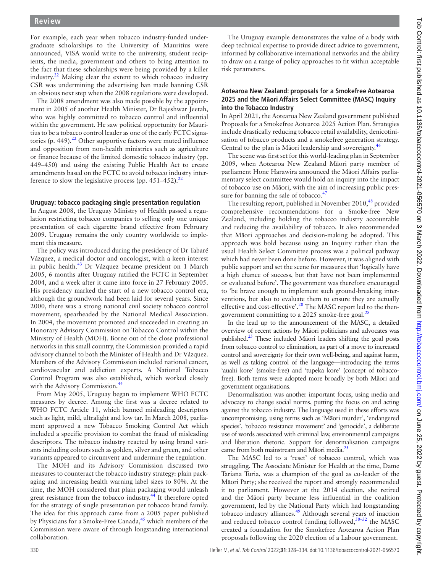For example, each year when tobacco industry-funded undergraduate scholarships to the University of Mauritius were announced, VISA would write to the university, student recipients, the media, government and others to bring attention to the fact that these scholarships were being provided by a killer industry.[22](#page-5-16) Making clear the extent to which tobacco industry CSR was undermining the advertising ban made banning CSR an obvious next step when the 2008 regulations were developed.

The 2008 amendment was also made possible by the appointment in 2005 of another Health Minister, Dr Rajeshwar Jeetah, who was highly committed to tobacco control and influential within the government. He saw political opportunity for Mauritius to be a tobacco control leader as one of the early FCTC signatories (p. 449). $^{22}$  Other supportive factors were muted influence and opposition from non-health ministries such as agriculture or finance because of the limited domestic tobacco industry (pp. 449–450) and using the existing Public Health Act to create amendments based on the FCTC to avoid tobacco industry interference to slow the legislative process (pp.  $451-452$ ).<sup>[22](#page-5-16)</sup>

## **Uruguay: tobacco packaging single presentation regulation**

In August 2008, the Uruguay Ministry of Health passed a regulation restricting tobacco companies to selling only one unique presentation of each cigarette brand effective from February 2009. Uruguay remains the only country worldwide to implement this measure.

The policy was introduced during the presidency of Dr Tabaré Vázquez, a medical doctor and oncologist, with a keen interest in public health.<sup>43</sup> Dr Vázquez became president on 1 March 2005, 6 months after Uruguay ratified the FCTC in September 2004, and a week after it came into force in 27 February 2005. His presidency marked the start of a new tobacco control era, although the groundwork had been laid for several years. Since 2000, there was a strong national civil society tobacco control movement, spearheaded by the National Medical Association. In 2004, the movement promoted and succeeded in creating an Honorary Advisory Commission on Tobacco Control within the Ministry of Health (MOH). Borne out of the close professional networks in this small country, the Commission provided a rapid advisory channel to both the Minister of Health and Dr Vázquez. Members of the Advisory Commission included national cancer, cardiovascular and addiction experts. A National Tobacco Control Program was also established, which worked closely with the Advisory Commission.<sup>4</sup>

From May 2005, Uruguay began to implement WHO FCTC measures by decree. Among the first was a decree related to WHO FCTC Article 11, which banned misleading descriptors such as light, mild, ultralight and low tar. In March 2008, parliament approved a new Tobacco Smoking Control Act which included a specific provision to combat the fraud of misleading descriptors. The tobacco industry reacted by using brand variants including colours such as golden, silver and green, and other variants appeared to circumvent and undermine the regulation.

The MOH and its Advisory Commission discussed two measures to counteract the tobacco industry strategy: plain packaging and increasing health warning label sizes to 80%. At the time, the MOH considered that plain packaging would unleash great resistance from the tobacco industry.<sup>[44](#page-5-32)</sup> It therefore opted for the strategy of single presentation per tobacco brand family. The idea for this approach came from a 2005 paper published by Physicians for a Smoke-Free Canada, $45$  which members of the Commission were aware of through longstanding international collaboration.

The Uruguay example demonstrates the value of a body with deep technical expertise to provide direct advice to government, informed by collaborative international networks and the ability to draw on a range of policy approaches to fit within acceptable risk parameters.

### **Aotearoa New Zealand: proposals for a Smokefree Aotearoa 2025 and the Māori Affairs Select Committee (MASC) Inquiry into the Tobacco Industry**

In April 2021, the Aotearoa New Zealand government published Proposals for a Smokefree Aotearoa 2025 Action Plan. Strategies include drastically reducing tobacco retail availability, denicotinisation of tobacco products and a smokefree generation strategy. Central to the plan is Māori leadership and sovereignty.[46](#page-5-34)

The scene was first set for this world-leading plan in September 2009, when Aotearoa New Zealand Māori party member of parliament Hone Harawira announced the Māori Affairs parliamentary select committee would hold an inquiry into the impact of tobacco use on Māori, with the aim of increasing public pres-sure for banning the sale of tobacco.<sup>[47](#page-6-0)</sup>

The resulting report, published in November  $2010<sup>48</sup>$  provided comprehensive recommendations for a Smoke-free New Zealand, including holding the tobacco industry accountable and reducing the availability of tobacco. It also recommended that Māori approaches and decision-making be adopted. This approach was bold because using an Inquiry rather than the usual Health Select Committee process was a political pathway which had never been done before. However, it was aligned with public support and set the scene for measures that 'logically have a high chance of success, but that have not been implemented or evaluated before'. The government was therefore encouraged to 'be brave enough to implement such ground-breaking interventions, but also to evaluate them to ensure they are actually effective and cost-effective'.<sup>[20](#page-5-14)</sup> The MASC report led to the thengovernment committing to a 2025 smoke-free goal. $^{28}$ 

In the lead up to the announcement of the MASC, a detailed overview of recent actions by Māori politicians and advocates was published.<sup>25</sup> These included Māori leaders shifting the goal posts from tobacco control to elimination, as part of a move to increased control and sovereignty for their own well-being, and against harm, as well as taking control of the language—introducing the terms 'auahi kore' (smoke-free) and 'tupeka kore' (concept of tobaccofree). Both terms were adopted more broadly by both Māori and government organisations.

Denormalisation was another important focus, using media and advocacy to change social norms, putting the focus on and acting against the tobacco industry. The language used in these efforts was uncompromising, using terms such as 'Māori murder', 'endangered species', 'tobacco resistance movement' and 'genocide', a deliberate use of words associated with criminal law, environmental campaigns and liberation rhetoric. Support for denormalisation campaigns came from both mainstream and Māori media.<sup>[25](#page-5-35)</sup>

The MASC led to a 'reset' of tobacco control, which was struggling. The Associate Minister for Health at the time, Dame Tariana Turia, was a champion of the goal as co-leader of the Māori Party; she received the report and strongly recommended it to parliament. However at the 2014 election, she retired and the Māori party became less influential in the coalition government, led by the National Party which had longstanding tobacco industry alliances.<sup>[49](#page-6-2)</sup> Although several years of inaction and reduced tobacco control funding followed, $50-52$  the MASC created a foundation for the Smokefree Aotearoa Action Plan proposals following the 2020 election of a Labour government.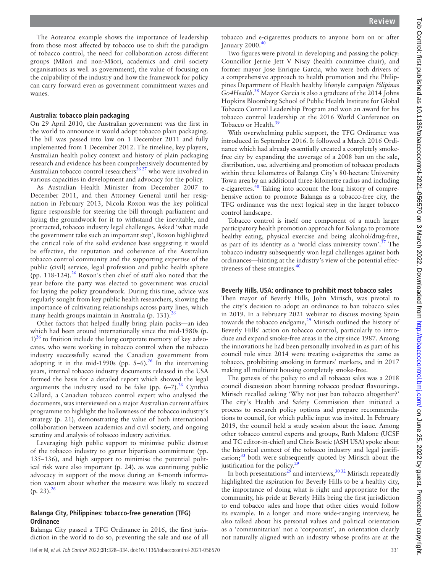The Aotearoa example shows the importance of leadership from those most affected by tobacco use to shift the paradigm of tobacco control, the need for collaboration across different groups (Māori and non-Māori, academics and civil society organisations as well as government), the value of focusing on the culpability of the industry and how the framework for policy can carry forward even as government commitment waxes and wanes.

#### **Australia: tobacco plain packaging**

On 29 April 2010, the Australian government was the first in the world to announce it would adopt tobacco plain packaging. The bill was passed into law on 1 December 2011 and fully implemented from 1 December 2012. The timeline, key players, Australian health policy context and history of plain packaging research and evidence has been comprehensively documented by Australian tobacco control researchers<sup>[26 27](#page-5-18)</sup> who were involved in various capacities in development and advocacy for the policy.

As Australian Health Minister from December 2007 to December 2011, and then Attorney General until her resignation in February 2013, Nicola Roxon was the key political figure responsible for steering the bill through parliament and laying the groundwork for it to withstand the inevitable, and protracted, tobacco industry legal challenges. Asked 'what made the government take such an important step', Roxon highlighted the critical role of the solid evidence base suggesting it would be effective, the reputation and coherence of the Australian tobacco control community and the supporting expertise of the public (civil) service, legal profession and public health sphere (pp. 118-124).[26](#page-5-18) Roxon's then chief of staff also noted that the year before the party was elected to government was crucial for laying the policy groundwork. During this time, advice was regularly sought from key public health researchers, showing the importance of cultivating relationships across party lines, which many health groups maintain in Australia (p. 131). $^{26}$  $^{26}$  $^{26}$ 

Other factors that helped finally bring plain packs—an idea which had been around internationally since the mid-1980s (p.  $1$ <sup>26</sup> to fruition include the long corporate memory of key advocates, who were working in tobacco control when the tobacco industry successfully scared the Canadian government from adopting it in the mid-1990s (pp.  $5-6$ ).<sup>[26](#page-5-18)</sup> In the intervening years, internal tobacco industry documents released in the USA formed the basis for a detailed report which showed the legal arguments the industry used to be false (pp.  $6-7$ ).<sup>26</sup> Cynthia Callard, a Canadian tobacco control expert who analysed the documents, was interviewed on a major Australian current affairs programme to highlight the hollowness of the tobacco industry's strategy (p. 21), demonstrating the value of both international collaboration between academics and civil society, and ongoing scrutiny and analysis of tobacco industry activities.

Leveraging high public support to minimise public distrust of the tobacco industry to garner bipartisan commitment (pp. 135–136), and high support to minimise the potential political risk were also important (p. 24), as was continuing public advocacy in support of the move during an 8-month information vacuum about whether the measure was likely to succeed  $(p. 23).^{26}$  $(p. 23).^{26}$  $(p. 23).^{26}$ 

#### **Balanga City, Philippines: tobacco-free generation (TFG) Ordinance**

Balanga City passed a TFG Ordinance in 2016, the first jurisdiction in the world to do so, preventing the sale and use of all

tobacco and e-cigarettes products to anyone born on or after January 2000.<sup>[40](#page-5-36)</sup>

Two figures were pivotal in developing and passing the policy: Councillor Jernie Jett V Nisay (health committee chair), and former mayor Jose Enrique Garcia, who were both drivers of a comprehensive approach to health promotion and the Philippines Department of Health healthy lifestyle campaign *Pilipinas Go4Health*. [38](#page-5-27) Mayor Garcia is also a graduate of the 2014 Johns Hopkins Bloomberg School of Public Health Institute for Global Tobacco Control Leadership Program and won an award for his tobacco control leadership at the 2016 World Conference on Tobacco or Health.<sup>[39](#page-5-28)</sup>

With overwhelming public support, the TFG Ordinance was introduced in September 2016. It followed a March 2016 Ordinance which had already essentially created a completely smokefree city by expanding the coverage of a 2008 ban on the sale, distribution, use, advertising and promotion of tobacco products within three kilometres of Balanga City's 80-hectare University Town area by an additional three-kilometre radius and including e-cigarettes. $\frac{40}{10}$  $\frac{40}{10}$  $\frac{40}{10}$  Taking into account the long history of comprehensive action to promote Balanga as a tobacco-free city, the TFG ordinance was the next logical step in the larger tobacco control landscape.

Tobacco control is itself one component of a much larger participatory health promotion approach for Balanga to promote healthy eating, physical exercise and being alcohol/drug-free, as part of its identity as a 'world class university town'.[37](#page-5-26) The tobacco industry subsequently won legal challenges against both ordinances—hinting at the industry's view of the potential effec-tiveness of these strategies.<sup>[40](#page-5-36)</sup>

#### **Beverly Hills, USA: ordinance to prohibit most tobacco sales**

Then mayor of Beverly Hills, John Mirisch, was pivotal to the city's decision to adopt an ordinance to ban tobacco sales in 2019. In a February 2021 webinar to discuss moving Spain towards the tobacco endgame, $^{29}$  $^{29}$  $^{29}$  Mirisch outlined the history of Beverly Hills' action on tobacco control, particularly to introduce and expand smoke-free areas in the city since 1987. Among the innovations he had been personally involved in as part of his council role since 2014 were treating e-cigarettes the same as tobacco, prohibiting smoking in farmers' markets, and in 2017 making all multiunit housing completely smoke-free.

The genesis of the policy to end all tobacco sales was a 2018 council discussion about banning tobacco product flavourings. Mirisch recalled asking 'Why not just ban tobacco altogether?' The city's Health and Safety Commission then initiated a process to research policy options and prepare recommendations to council, for which public input was invited. In February 2019, the council held a study session about the issue. Among other tobacco control experts and groups, Ruth Malone (UCSF and TC editor-in-chief) and Chris Bostic (ASH USA) spoke about the historical context of the tobacco industry and legal justification;<sup>33</sup> both were subsequently quoted by Mirisch about the justification for the policy. $2^2$ 

In both presentations<sup>29</sup> and interviews,  $3032$  Mirisch repeatedly highlighted the aspiration for Beverly Hills to be a healthy city, the importance of doing what is right and appropriate for the community, his pride at Beverly Hills being the first jurisdiction to end tobacco sales and hope that other cities would follow its example. In a longer and more wide-ranging interview, he also talked about his personal values and political orientation as a 'communitarian' not a 'corporatist', an orientation clearly not naturally aligned with an industry whose profits are at the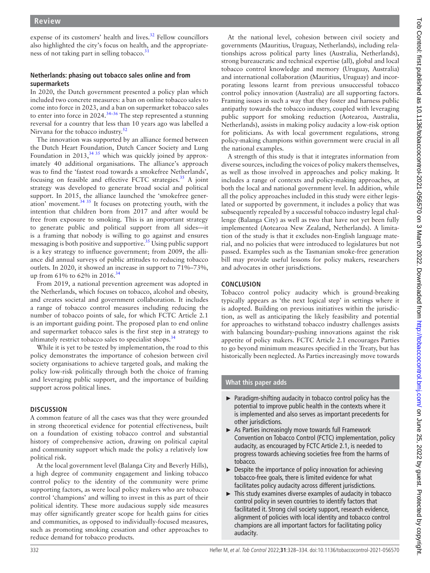expense of its customers' health and lives.<sup>[32](#page-5-22)</sup> Fellow councillors also highlighted the city's focus on health, and the appropriateness of not taking part in selling tobacco.<sup>3</sup>

## **Netherlands: phasing out tobacco sales online and from supermarkets**

In 2020, the Dutch government presented a policy plan which included two concrete measures: a ban on online tobacco sales to come into force in 2023, and a ban on supermarket tobacco sales to enter into force in 2024.<sup>34-36</sup> The step represented a stunning reversal for a country that less than 10 years ago was labelled a Nirvana for the tobacco industry.<sup>[52](#page-6-4)</sup>

The innovation was supported by an alliance formed between the Dutch Heart Foundation, Dutch Cancer Society and Lung Foundation in 2013,  $34 \times 35$  which was quickly joined by approximately 40 additional organisations. The alliance's approach was to find the 'fastest road towards a smokefree Netherlands', focusing on feasible and effective FCTC strategies.<sup>35</sup> A joint strategy was developed to generate broad social and political support. In 2015, the alliance launched the 'smokefree generation' movement.  $3435$  It focuses on protecting youth, with the intention that children born from 2017 and after would be free from exposure to smoking. This is an important strategy to generate public and political support from all sides—it is a framing that nobody is willing to go against and ensures messaging is both positive and supportive[.35](#page-5-38) Using public support is a key strategy to influence government; from 2009, the alliance did annual surveys of public attitudes to reducing tobacco outlets. In 2020, it showed an increase in support to 71%–73%, up from 61% to 62% in 2016.<sup>[34](#page-5-24)</sup>

From 2019, a national prevention agreement was adopted in the Netherlands, which focuses on tobacco, alcohol and obesity, and creates societal and government collaboration. It includes a range of tobacco control measures including reducing the number of tobacco points of sale, for which FCTC Article 2.1 is an important guiding point. The proposed plan to end online and supermarket tobacco sales is the first step in a strategy to ultimately restrict tobacco sales to specialist shops.<sup>[34](#page-5-24)</sup>

While it is yet to be tested by implementation, the road to this policy demonstrates the importance of cohesion between civil society organisations to achieve targeted goals, and making the policy low-risk politically through both the choice of framing and leveraging public support, and the importance of building support across political lines.

## **DISCUSSION**

A common feature of all the cases was that they were grounded in strong theoretical evidence for potential effectiveness, built on a foundation of existing tobacco control and substantial history of comprehensive action, drawing on political capital and community support which made the policy a relatively low political risk.

At the local government level (Balanga City and Beverly Hills), a high degree of community engagement and linking tobacco control policy to the identity of the community were prime supporting factors, as were local policy makers who are tobacco control 'champions' and willing to invest in this as part of their political identity. These more audacious supply side measures may offer significantly greater scope for health gains for cities and communities, as opposed to individually-focused measures, such as promoting smoking cessation and other approaches to reduce demand for tobacco products.

At the national level, cohesion between civil society and governments (Mauritius, Uruguay, Netherlands), including relationships across political party lines (Australia, Netherlands), strong bureaucratic and technical expertise (all), global and local tobacco control knowledge and memory (Uruguay, Australia) and international collaboration (Mauritius, Uruguay) and incorporating lessons learnt from previous unsuccessful tobacco control policy innovation (Australia) are all supporting factors. Framing issues in such a way that they foster and harness public antipathy towards the tobacco industry, coupled with leveraging public support for smoking reduction (Aotearoa, Australia, Netherlands), assists in making policy audacity a low-risk option for politicians. As with local government regulations, strong policy-making champions within government were crucial in all the national examples.

A strength of this study is that it integrates information from diverse sources, including the voices of policy makers themselves, as well as those involved in approaches and policy making. It includes a range of contexts and policy-making approaches, at both the local and national government level. In addition, while all the policy approaches included in this study were either legislated or supported by government, it includes a policy that was subsequently repealed by a successful tobacco industry legal challenge (Balanga City) as well as two that have not yet been fully implemented (Aotearoa New Zealand, Netherlands). A limitation of the study is that it excludes non-English language material, and no policies that were introduced to legislatures but not passed. Examples such as the Tasmanian smoke-free generation bill may provide useful lessons for policy makers, researchers and advocates in other jurisdictions.

## **CONCLUSION**

Tobacco control policy audacity which is ground-breaking typically appears as 'the next logical step' in settings where it is adopted. Building on previous initiatives within the jurisdiction, as well as anticipating the likely feasibility and potential for approaches to withstand tobacco industry challenges assists with balancing boundary-pushing innovations against the risk appetite of policy makers. FCTC Article 2.1 encourages Parties to go beyond minimum measures specified in the Treaty, but has historically been neglected. As Parties increasingly move towards

## **What this paper adds**

- ► Paradigm-shifting audacity in tobacco control policy has the potential to improve public health in the contexts where it is implemented and also serves as important precedents for other jurisdictions.
- ► As Parties increasingly move towards full Framework Convention on Tobacco Control (FCTC) implementation, policy audacity, as encouraged by FCTC Article 2.1, is needed to progress towards achieving societies free from the harms of tobacco.
- $\triangleright$  Despite the importance of policy innovation for achieving tobacco-free goals, there is limited evidence for what facilitates policy audacity across different jurisdictions.
- ► This study examines diverse examples of audacity in tobacco control policy in seven countries to identify factors that facilitated it. Strong civil society support, research evidence, alignment of policies with local identity and tobacco control champions are all important factors for facilitating policy audacity.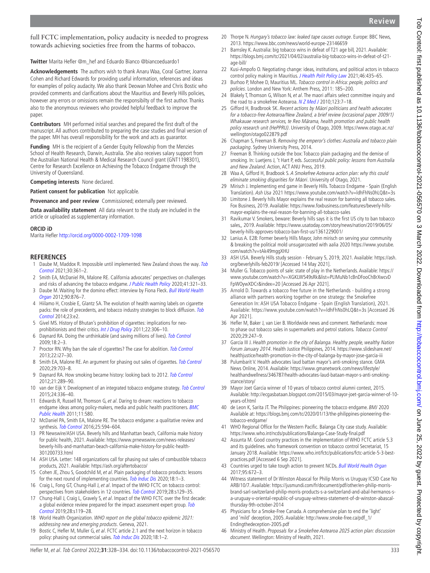full FCTC implementation, policy audacity is needed to progress towards achieving societies free from the harms of tobacco.

**Twitter** Marita Hefler [@m\\_hef](https://twitter.com/m_hef) and Eduardo Bianco [@biancoeduardo1](https://twitter.com/biancoeduardo1)

**Acknowledgements** The authors wish to thank Anaru Waa, Coral Gartner, Joanna Cohen and Richard Edwards for providing useful information, references and ideas for examples of policy audacity. We also thank Deowan Mohee and Chris Bostic who provided comments and clarifications about the Mauritius and Beverly Hills policies, however any errors or omissions remain the responsibilty of the first author. Thanks also to the anonymous reviewers who provided helpful feedback to improve the paper.

**Contributors** MH performed initial searches and prepared the first draft of the manuscript. All authors contributed to preparing the case studies and final version of the paper. MH has overall responsibility for the work and acts as guarantor.

**Funding** MH is the recipient of a Gender Equity Fellowship from the Menzies School of Health Research, Darwin, Australia. She also receives salary support from the Australian National Health & Medical Research Council grant (GNT1198301), Centre for Research Excellence on Achieving the Tobacco Endgame through the University of Queensland.

**Competing interests** None declared.

**Patient consent for publication** Not applicable.

**Provenance and peer review** Commissioned; externally peer reviewed.

**Data availability statement** All data relevant to the study are included in the article or uploaded as supplementary information.

#### **ORCID iD**

Marita Hefler<http://orcid.org/0000-0002-1709-1098>

## **REFERENCES**

- <span id="page-5-0"></span>1 Daube M, Maddox R. Impossible until implemented: New Zealand shows the way. [Tob](http://dx.doi.org/10.1136/tobaccocontrol-2021-056776)  [Control](http://dx.doi.org/10.1136/tobaccocontrol-2021-056776) 2021;30:361–2.
- <span id="page-5-1"></span>2 Smith EA, McDaniel PA, Malone RE. California advocates' perspectives on challenges and risks of advancing the tobacco endgame. [J Public Health Policy](http://dx.doi.org/10.1057/s41271-020-00230-5) 2020;41:321-33.
- <span id="page-5-2"></span>3 Daube M. Waiting for the domino effect: interview by Fiona Fleck. Bull World Health [Organ](http://dx.doi.org/10.2471/BLT.12.031212) 2012;90:876–7.
- <span id="page-5-3"></span>4 Hiilamo H, Crosbie E, Glantz SA. The evolution of health warning labels on cigarette packs: the role of precedents, and tobacco industry strategies to block diffusion. Tob [Control](http://dx.doi.org/10.1136/tobaccocontrol-2012-050541) 2014;23:e2.
- <span id="page-5-4"></span>5 Givel MS. History of Bhutan's prohibition of cigarettes: implications for neo-prohibitionists and their critics. [Int J Drug Policy](http://dx.doi.org/10.1016/j.drugpo.2011.05.006) 2011;22:306-10.
- <span id="page-5-5"></span>6 Daynard RA. Doing the unthinkable (and saving millions of lives). [Tob Control](http://dx.doi.org/10.1136/tc.2008.028308) 2009;18:2–3.
- <span id="page-5-6"></span>7 Proctor RN. Why ban the sale of cigarettes? The case for abolition. [Tob Control](http://dx.doi.org/10.1136/tobaccocontrol-2012-050811) 2013;22:i27–30.
- 8 Smith EA, Malone RE. An argument for phasing out sales of cigarettes. [Tob Control](http://dx.doi.org/10.1136/tobaccocontrol-2019-055079) 2020;29:703–8.
- <span id="page-5-7"></span>9 Daynard RA. How smoking became history: looking back to 2012. [Tob Control](http://dx.doi.org/10.1136/tc.2010.040873) 2012;21:289–90.
- van der Eijk Y. Development of an integrated tobacco endgame strategy. [Tob Control](http://dx.doi.org/10.1136/tobaccocontrol-2013-051211) 2015;24:336–40.
- 11 Edwards R, Russell M, Thomson G, et al. Daring to dream: reactions to tobacco endgame ideas among policy-makers, media and public health practitioners. **BMC** [Public Health](http://dx.doi.org/10.1186/1471-2458-11-580) 2011;11:580.
- 12 McDaniel PA, Smith EA, Malone RE. The tobacco endgame: a qualitative review and synthesis. [Tob Control](http://dx.doi.org/10.1136/tobaccocontrol-2015-052356) 2016;25:594-604.
- <span id="page-5-8"></span>13 PR Newswire/ASH USA. Beverly hills and Manhattan beach, California make history for public health, 2021. Available: [https://www.prnewswire.com/news-releases/](https://www.prnewswire.com/news-releases/beverly-hills-and-manhattan-beach-california-make-history-for-public-health-301200733.html) [beverly-hills-and-manhattan-beach-california-make-history-for-public-health-](https://www.prnewswire.com/news-releases/beverly-hills-and-manhattan-beach-california-make-history-for-public-health-301200733.html)[301200733.html](https://www.prnewswire.com/news-releases/beverly-hills-and-manhattan-beach-california-make-history-for-public-health-301200733.html)
- <span id="page-5-9"></span>14 ASH USA. Letter: 148 organizations call for phasing out sales of combustible tobacco products, 2021. Available: <https://ash.org/aftertobacco/>
- <span id="page-5-10"></span>15 Cohen JE, Zhou S, Goodchild M, et al. Plain packaging of tobacco products: lessons for the next round of implementing countries. [Tob Induc Dis](http://dx.doi.org/10.18332/tid/130378) 2020;18:1–3.
- <span id="page-5-11"></span>16 Craig L, Fong GT, Chung-Hall J, et al. Impact of the WHO FCTC on tobacco control: perspectives from stakeholders in 12 countries. [Tob Control](http://dx.doi.org/10.1136/tobaccocontrol-2019-054940) 2019;28:s129-35.
- <span id="page-5-12"></span>17 Chung-Hall J, Craig L, Gravely S, et al. Impact of the WHO FCTC over the first decade: a global evidence review prepared for the impact assessment expert group. Tob [Control](http://dx.doi.org/10.1136/tobaccocontrol-2018-054389) 2019;28:s119–28.
- 18 World Health Organization. WHO report on the global tobacco epidemic 2021: addressing new and emerging products. Geneva, 2021.
- <span id="page-5-13"></span>19 Bostic C, Hefler M, Muller G, et al. FCTC article 2.1 and the next horizon in tobacco policy: phasing out commercial sales. [Tob Induc Dis](http://dx.doi.org/10.18332/tid/130673) 2020;18:1-2.
- <span id="page-5-14"></span>20 Thorpe N. Hungary's tobacco law: leaked tape causes outrage. Europe: BBC News, 2013.<https://www.bbc.com/news/world-europe-23146659>
- <span id="page-5-15"></span>21 Barnsley K. Australia: big tobacco wins in defeat of T21 age bill, 2021. Available: [https://blogs.bmj.com/tc/2021/04/02/australia-big-tobacco-wins-in-defeat-of-t21](https://blogs.bmj.com/tc/2021/04/02/australia-big-tobacco-wins-in-defeat-of-t21-age-bill/) [age-bill/](https://blogs.bmj.com/tc/2021/04/02/australia-big-tobacco-wins-in-defeat-of-t21-age-bill/)
- <span id="page-5-16"></span>22 Kusi-Ampofo O. Negotiating change: ideas, institutions, and political actors in tobacco control policy making in Mauritius. [J Health Polit Policy Law](http://dx.doi.org/10.1215/03616878-8893543) 2021;46:435-65.
- <span id="page-5-30"></span>23 Burhoo P, Mohee D, Mauritius ML. Tobacco control in Africa: people, politics and policies. London and New York: Anthem Press, 2011: 185–200.
- <span id="page-5-17"></span>24 Blakely T, Thomson G, Wilson N, et al. The maori affairs select committee inquiry and the road to a smokefree Aotearoa. [N Z Med J](http://www.ncbi.nlm.nih.gov/pubmed/21326394) 2010;123:7-18.
- <span id="page-5-35"></span>25 Gifford H, Bradbrook SK. Recent actions by M*ā*ori politicians and health advocates for a tobacco-free Aotearoa/New Zealand, a brief review (occasional paper 2009/1) Whakauae research services, te Reo M*ā*rama, health promotion and public health policy research unit (HePPRU). University of Otago, 2009. [https://www.otago.ac.nz/](https://www.otago.ac.nz/wellington/otago022879.pdf) [wellington/otago022879.pdf](https://www.otago.ac.nz/wellington/otago022879.pdf)
- <span id="page-5-18"></span>26 Chapman S, Freeman B. Removing the emperor's clothes: Australia and tobacco plain packaging. Sydney University Press, 2014.
- 27 Freeman B. Thinking outside the box: Tobacco plain packaging and the demise of smoking. In: Luetjens J, 't Hart P, eds. Successful public policy: lessons from Australia and New Zealand. Action, ACT ANU Press, 2019.
- <span id="page-5-19"></span>28 Waa A, Gifford H, Bradbook S. A Smokefree Aotearoa action plan: why this could eliminate smoking disparities for M*ā*ori. University of Otago, 2021.
- <span id="page-5-20"></span>29 Mirisch J. Implementing end game in Beverly Hills. Tobacco Endgame - Spain (English Translation). Ash Usa 2021<https://www.youtube.com/watch?v=ldhFhNs0hLQ&t=3s>
- <span id="page-5-21"></span>30 Limitone J. Beverly hills Mayor explains the real reason for banning all tobacco sales. Fox Business, 2019. Available: [https://www.foxbusiness.com/features/beverly-hills](https://www.foxbusiness.com/features/beverly-hills-mayor-explains-the-real-reason-for-banning-all-tobacco-sales)[mayor-explains-the-real-reason-for-banning-all-tobacco-sales](https://www.foxbusiness.com/features/beverly-hills-mayor-explains-the-real-reason-for-banning-all-tobacco-sales)
- <span id="page-5-37"></span>31 Ravikumar V. Smokers, beware: Beverly hills says it is the first US city to ban tobacco sales,, 2019. Available: [https://www.usatoday.com/story/news/nation/2019/06/05/](https://www.usatoday.com/story/news/nation/2019/06/05/beverly-hills-approves-tobacco-ban-first-us/1361229001/) [beverly-hills-approves-tobacco-ban-first-us/1361229001/](https://www.usatoday.com/story/news/nation/2019/06/05/beverly-hills-approves-tobacco-ban-first-us/1361229001/)
- <span id="page-5-22"></span>32 Lanius A. E28: Former beverly Hills Mayor, John mirisch on serving your community & breaking the political mold unsugarcoated with aalia 2020 [https://www.youtube.](https://www.youtube.com/watch?v=tAk49mggXHU) [com/watch?v=tAk49mggXHU](https://www.youtube.com/watch?v=tAk49mggXHU)
- <span id="page-5-23"></span>33 ASH USA. Beverly Hills study session - February 5, 2019, 2021. Available: [https://ash.](https://ash.org/beverlyhills-feb2019/) [org/beverlyhills-feb2019/](https://ash.org/beverlyhills-feb2019/) [Accessed 14 May 2021].
- <span id="page-5-24"></span>34 Muller G. Tobacco points of sale: state of play in the Netherlands. Available: [https://](https://www.youtube.com/watch?v=XGKLW549sRk&list=PLIMuNb1cBnDFooChBrXwcvDFpWOywXDCr&index=20) [www.youtube.com/watch?v=XGKLW549sRk&list=PLIMuNb1cBnDFooChBrXwcvD](https://www.youtube.com/watch?v=XGKLW549sRk&list=PLIMuNb1cBnDFooChBrXwcvDFpWOywXDCr&index=20) [FpWOywXDCr&index=20](https://www.youtube.com/watch?v=XGKLW549sRk&list=PLIMuNb1cBnDFooChBrXwcvDFpWOywXDCr&index=20) [Accessed 26 Apr 2021].
- <span id="page-5-38"></span>35 Arnold D. Towards a tobacco free future in the Netherlands - building a strong alliance with partners working together on one strategy: the Smokefree Generation In: ASH USA Tobacco Endgame - Spain (English Translation), 2021. Available: <https://www.youtube.com/watch?v=ldhFhNs0hLQ&t=3s>[Accessed 26 Apr 2021].
- <span id="page-5-25"></span>36 Hefler M, Baker J, van Lier B. Worldwide news and comment. Netherlands: move to phase out tobacco sales in supermarkets and petrol stations. Tobacco Control 2020;29:247–9.
- <span id="page-5-26"></span>37 Garcia III J. Health promotion in the city of Balanga. Healthy people, wealthy Nation Forum January 2014. Health Justice Philippines, 2014. [https://www.slideshare.net/](https://www.slideshare.net/healthjustice/health-promotion-in-the-city-of-balanga-by-mayor-jose-garcia-iii) [healthjustice/health-promotion-in-the-city-of-balanga-by-mayor-jose-garcia-iii](https://www.slideshare.net/healthjustice/health-promotion-in-the-city-of-balanga-by-mayor-jose-garcia-iii)
- <span id="page-5-27"></span>38 Pulumbarit V. Health advocates laud battan mayor's anti-smoking stance. GMA News Online, 2014. Available: [https://www.gmanetwork.com/news/lifestyle/](https://www.gmanetwork.com/news/lifestyle/healthandwellness/346787/health-advocates-laud-bataan-mayor-s-anti-smoking-stance/story/) [healthandwellness/346787/health-advocates-laud-bataan-mayor-s-anti-smoking](https://www.gmanetwork.com/news/lifestyle/healthandwellness/346787/health-advocates-laud-bataan-mayor-s-anti-smoking-stance/story/)[stance/story/](https://www.gmanetwork.com/news/lifestyle/healthandwellness/346787/health-advocates-laud-bataan-mayor-s-anti-smoking-stance/story/)
- <span id="page-5-28"></span>39 Mayor Joet Garcia winner of 10 years of tobacco control alumni contest, 2015. Available: [http://ecgasbataan.blogspot.com/2015/03/mayor-joet-garcia-winner-of-10](http://ecgasbataan.blogspot.com/2015/03/mayor-joet-garcia-winner-of-10-years-of.html) [years-of.html](http://ecgasbataan.blogspot.com/2015/03/mayor-joet-garcia-winner-of-10-years-of.html)
- <span id="page-5-36"></span>40 de Leon K, Sarita JT. The Philippines: pioneering the tobacco endgame. BMJ 2020 [Available at: https://blogs.bmj.com/tc/2020/01/13/the-philippines-pioneering-the](Available%20at:%20https://blogs.bmj.com/tc/2020/01/13/the-philippines-pioneering-the-tobacco-endgame/)[tobacco-endgame/](Available%20at:%20https://blogs.bmj.com/tc/2020/01/13/the-philippines-pioneering-the-tobacco-endgame/)
- <span id="page-5-29"></span>41 WHO Regional Office for the Western Pacific. Balanga City case study. Available: <https://www.who.int/ncds/publications/Balanga-Case-Study-final.pdf>
- 42 Assunta M. Good country practices in the implementation of WHO FCTC article 5.3 and its guidelines. who framework convention on tobacco control Secretariat, 15 January 2018. Available: [https://www.who.int/fctc/publications/fctc-article-5-3-best](https://www.who.int/fctc/publications/fctc-article-5-3-best-practices.pdf)[practices.pdf](https://www.who.int/fctc/publications/fctc-article-5-3-best-practices.pdf) [Accessed 6 Sep 2021].
- <span id="page-5-31"></span>43 Countries urged to take tough action to prevent NCDs. [Bull World Health Organ](http://dx.doi.org/10.2471/BLT.17.031017) 2017;95:672–3.
- <span id="page-5-32"></span>44 Witness statement of Dr Winston Abascal for Philip Morris vs Uruguay ICSID Case No ARB/10/7. Available: [https://jusmundi.com/fr/document/pdf/other/en-philip-morris](https://jusmundi.com/fr/document/pdf/other/en-philip-morris-brand-sarl-switzerland-philip-morris-products-s-a-switzerland-and-abal-hermanos-s-a-uruguay-v-oriental-republic-of-uruguay-witness-statement-of-dr-winston-abascal-thursday-9th-october-2014)[brand-sarl-switzerland-philip-morris-products-s-a-switzerland-and-abal-hermanos-s](https://jusmundi.com/fr/document/pdf/other/en-philip-morris-brand-sarl-switzerland-philip-morris-products-s-a-switzerland-and-abal-hermanos-s-a-uruguay-v-oriental-republic-of-uruguay-witness-statement-of-dr-winston-abascal-thursday-9th-october-2014)[a-uruguay-v-oriental-republic-of-uruguay-witness-statement-of-dr-winston-abascal](https://jusmundi.com/fr/document/pdf/other/en-philip-morris-brand-sarl-switzerland-philip-morris-products-s-a-switzerland-and-abal-hermanos-s-a-uruguay-v-oriental-republic-of-uruguay-witness-statement-of-dr-winston-abascal-thursday-9th-october-2014)[thursday-9th-october-2014](https://jusmundi.com/fr/document/pdf/other/en-philip-morris-brand-sarl-switzerland-philip-morris-products-s-a-switzerland-and-abal-hermanos-s-a-uruguay-v-oriental-republic-of-uruguay-witness-statement-of-dr-winston-abascal-thursday-9th-october-2014)
- <span id="page-5-33"></span>45 Physicians for a Smoke-Free Canada. A comprehensive plan to end the 'light' and 'mild' deception, 2005. Available: [http://www.smoke-free.ca/pdf\\_1/](http://www.smoke-free.ca/pdf_1/Endingthedeception-2005.pdf) [Endingthedeception-2005.pdf](http://www.smoke-free.ca/pdf_1/Endingthedeception-2005.pdf)
- <span id="page-5-34"></span>46 Ministry of Health. Proposals for a Smokefree Aotearoa 2025 action plan: discussion document. Wellington: Ministry of Health, 2021.

Tob Control: first published as 10.1136/tobaccocontrol-2021-056570 on 3 March 2022. Downloaded from http://tobaccocontrol.bmj.com/ on June 25, 2022 by guest. Protected by copyright. Tob Control: first published as 10.1136/tobaccocontrol-2021-056570 on 3 March 2022. Downloaded from <http://tobaccocontrol.bmj.com/> On June 25, 2022 by guest. Protected by copyright.